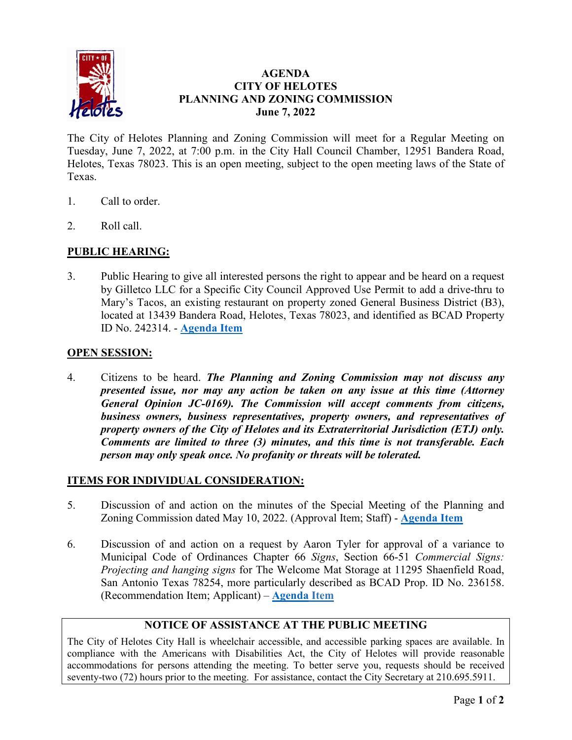

# **AGENDA CITY OF HELOTES PLANNING AND ZONING COMMISSION June 7, 2022**

The City of Helotes Planning and Zoning Commission will meet for a Regular Meeting on Tuesday, June 7, 2022, at 7:00 p.m. in the City Hall Council Chamber, 12951 Bandera Road, Helotes, Texas 78023. This is an open meeting, subject to the open meeting laws of the State of Texas.

- 1. Call to order.
- 2. Roll call.

# **PUBLIC HEARING:**

3. Public Hearing to give all interested persons the right to appear and be heard on a request by Gilletco LLC for a Specific City Council Approved Use Permit to add a drive-thru to Mary's Tacos, an existing restaurant on property zoned General Business District (B3), located at 13439 Bandera Road, Helotes, Texas 78023, and identified as BCAD Property ID No. 242314. - **[Agenda Item](https://helotes-tx.gov/wp-content/uploads/2022/05/3-Marys-Tacos-PH.pdf)**

### **OPEN SESSION:**

4. Citizens to be heard. *The Planning and Zoning Commission may not discuss any presented issue, nor may any action be taken on any issue at this time (Attorney General Opinion JC-0169). The Commission will accept comments from citizens, business owners, business representatives, property owners, and representatives of property owners of the City of Helotes and its Extraterritorial Jurisdiction (ETJ) only. Comments are limited to three (3) minutes, and this time is not transferable. Each person may only speak once. No profanity or threats will be tolerated.*

### **ITEMS FOR INDIVIDUAL CONSIDERATION:**

- 5. Discussion of and action on the minutes of the Special Meeting of the Planning and Zoning Commission dated May 10, 2022. (Approval Item; Staff) - **[Agenda Item](https://helotes-tx.gov/wp-content/uploads/2022/05/5-PZ-Min-05.10.22-.pdf)**
- 6. Discussion of and action on a request by Aaron Tyler for approval of a variance to Municipal Code of Ordinances Chapter 66 *Signs*, Section 66-51 *Commercial Signs: Projecting and hanging signs* for The Welcome Mat Storage at 11295 Shaenfield Road, San Antonio Texas 78254, more particularly described as BCAD Prop. ID No. 236158. (Recommendation Item; Applicant) – **[Agenda](https://helotes-tx.gov/wp-content/uploads/2022/05/PZ-06.07.22-Item-6-Welcome-Mat.pdf) Item**

### **NOTICE OF ASSISTANCE AT THE PUBLIC MEETING**

The City of Helotes City Hall is wheelchair accessible, and accessible parking spaces are available. In compliance with the Americans with Disabilities Act, the City of Helotes will provide reasonable accommodations for persons attending the meeting. To better serve you, requests should be received seventy-two (72) hours prior to the meeting. For assistance, contact the City Secretary at 210.695.5911.